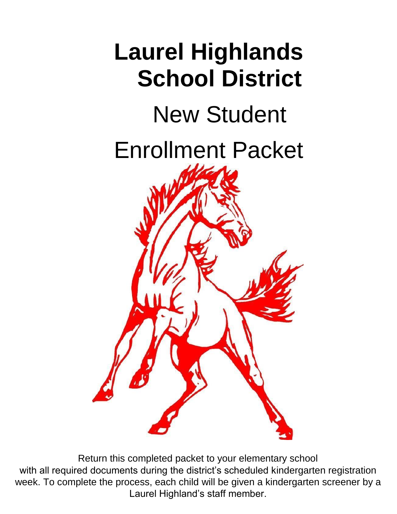

Return this completed packet to your elementary school with all required documents during the district's scheduled kindergarten registration week. To complete the process, each child will be given a kindergarten screener by a Laurel Highland's staff member.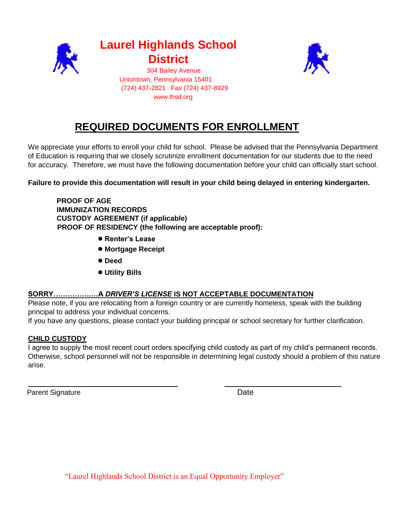

**Laurel Highlands School District**  304 Bailey Avenue



 Uniontown, Pennsylvania 15401 (724) 437-2821 Fax (724) 437-8929 www.lhsd.org

# **REQUIRED DOCUMENTS FOR ENROLLMENT**

We appreciate your efforts to enroll your child for school. Please be advised that the Pennsylvania Department of Education is requiring that we closely scrutinize enrollment documentation for our students due to the need for accuracy. Therefore, we must have the following documentation before your child can officially start school.

**Failure to provide this documentation will result in your child being delayed in entering kindergarten.**

**PROOF OF AGE IMMUNIZATION RECORDS CUSTODY AGREEMENT (if applicable) PROOF OF RESIDENCY (the following are acceptable proof):** 

- **● Renter's Lease**
- **● Mortgage Receipt**
- **● Deed**
- **● Utility Bills**

## **SORRY…………….…A** *DRIVER'S LICENSE* **IS NOT ACCEPTABLE DOCUMENTATION**

Please note, if you are relocating from a foreign country or are currently homeless, speak with the building principal to address your individual concerns.

If you have any questions, please contact your building principal or school secretary for further clarification.

## **CHILD CUSTODY**

I agree to supply the most recent court orders specifying child custody as part of my child's permanent records. Otherwise, school personnel will not be responsible in determining legal custody should a problem of this nature arise.

Parent Signature Date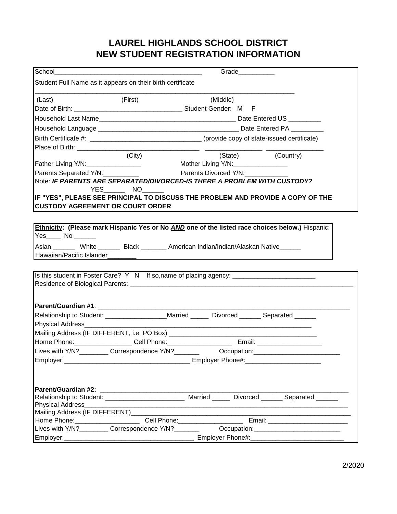# **LAUREL HIGHLANDS SCHOOL DISTRICT NEW STUDENT REGISTRATION INFORMATION**

| School_                                 |                                                                                                                |                                                            | Grade |                                                  |  |
|-----------------------------------------|----------------------------------------------------------------------------------------------------------------|------------------------------------------------------------|-------|--------------------------------------------------|--|
|                                         | Student Full Name as it appears on their birth certificate                                                     |                                                            |       |                                                  |  |
| (Last)                                  | (First)                                                                                                        | (Middle)                                                   |       |                                                  |  |
|                                         |                                                                                                                |                                                            |       |                                                  |  |
|                                         |                                                                                                                |                                                            |       |                                                  |  |
|                                         |                                                                                                                |                                                            |       |                                                  |  |
|                                         | Birth Certificate #: __________________________________(provide copy of state-issued certificate)              |                                                            |       |                                                  |  |
|                                         |                                                                                                                |                                                            |       |                                                  |  |
|                                         | (City)                                                                                                         |                                                            |       | (State) (Country)                                |  |
| Father Living Y/N:_________________     | Mother Living Y/N: _________________                                                                           |                                                            |       |                                                  |  |
| Parents Separated Y/N:                  |                                                                                                                | Parents Divorced Y/N:                                      |       |                                                  |  |
|                                         | Note: IF PARENTS ARE SEPARATED/DIVORCED-IS THERE A PROBLEM WITH CUSTODY?<br>YES NO                             |                                                            |       |                                                  |  |
| <b>CUSTODY AGREEMENT OR COURT ORDER</b> | IF "YES", PLEASE SEE PRINCIPAL TO DISCUSS THE PROBLEM AND PROVIDE A COPY OF THE                                |                                                            |       |                                                  |  |
| Yes______ No _______                    | Ethnicity: (Please mark Hispanic Yes or No AND one of the listed race choices below.) Hispanic:                |                                                            |       |                                                  |  |
|                                         | Asian ________ White ________ Black ________ American Indian/Indian/Alaskan Native ______                      |                                                            |       |                                                  |  |
|                                         |                                                                                                                |                                                            |       |                                                  |  |
|                                         |                                                                                                                |                                                            |       |                                                  |  |
|                                         | Is this student in Foster Care? Y N If so, name of placing agency: _________________________________           |                                                            |       |                                                  |  |
|                                         |                                                                                                                |                                                            |       |                                                  |  |
|                                         |                                                                                                                |                                                            |       |                                                  |  |
|                                         |                                                                                                                |                                                            |       |                                                  |  |
|                                         | Relationship to Student: ___________________Married _______ Divorced _______ Separated ______                  |                                                            |       |                                                  |  |
| Physical Address_____________________   |                                                                                                                | <u> 1980 - Jan James Barnett, fransk politik (d. 1980)</u> |       |                                                  |  |
|                                         |                                                                                                                |                                                            |       |                                                  |  |
|                                         |                                                                                                                |                                                            |       |                                                  |  |
|                                         | Lives with Y/N? Correspondence Y/N? Correspondence Y/N Correspondence Correspondence Occupation:               |                                                            |       |                                                  |  |
| Employer:                               | Employer Phone#: Continuing the Contract of the Contract of The Contract of The Contract of The Contract of Th |                                                            |       |                                                  |  |
|                                         |                                                                                                                |                                                            |       |                                                  |  |
|                                         | Relationship to Student: ____________________________                                                          |                                                            |       | Married ______ Divorced _______ Separated ______ |  |
| <b>Physical Address</b>                 |                                                                                                                |                                                            |       |                                                  |  |
|                                         |                                                                                                                |                                                            |       |                                                  |  |
|                                         | Home Phone: _________________________________Cell Phone: _______________________                               |                                                            |       |                                                  |  |
|                                         |                                                                                                                |                                                            |       |                                                  |  |
|                                         |                                                                                                                |                                                            |       |                                                  |  |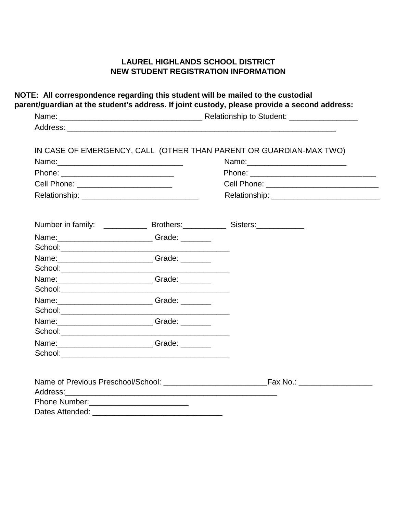## **LAUREL HIGHLANDS SCHOOL DISTRICT NEW STUDENT REGISTRATION INFORMATION**

| IN CASE OF EMERGENCY, CALL (OTHER THAN PARENT OR GUARDIAN-MAX TWO)<br>Name: _____________________________<br>Cell Phone: ________________________________                                                                     |
|-------------------------------------------------------------------------------------------------------------------------------------------------------------------------------------------------------------------------------|
|                                                                                                                                                                                                                               |
|                                                                                                                                                                                                                               |
|                                                                                                                                                                                                                               |
|                                                                                                                                                                                                                               |
|                                                                                                                                                                                                                               |
|                                                                                                                                                                                                                               |
|                                                                                                                                                                                                                               |
|                                                                                                                                                                                                                               |
|                                                                                                                                                                                                                               |
| Name: Name: Name: Name: Name: Name: Name: Name: Name: Name: Name: Name: Name: Name: Name: Name: Name: Name: Name: N                                                                                                           |
| Name: ________________________________Grade: _________                                                                                                                                                                        |
|                                                                                                                                                                                                                               |
| Name: ____________________________Grade: ________                                                                                                                                                                             |
|                                                                                                                                                                                                                               |
| Name: Name: Name: Name: Name: Name: Name: Name: Name: Name: Name: Name: Name: Name: Name: Name: Name: Name: Name: Name: Name: Name: Name: Name: Name: Name: Name: Name: Name: Name: Name: Name: Name: Name: Name: Name: Name: |
|                                                                                                                                                                                                                               |
| Name: Campana Communication Crade: Communication Crade:                                                                                                                                                                       |
|                                                                                                                                                                                                                               |
|                                                                                                                                                                                                                               |
|                                                                                                                                                                                                                               |
|                                                                                                                                                                                                                               |

Dates Attended: \_\_\_\_\_\_\_\_\_\_\_\_\_\_\_\_\_\_\_\_\_\_\_\_\_\_\_\_\_\_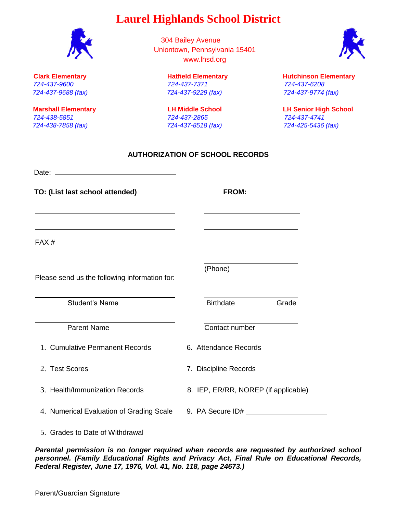304 Bailey Avenue Uniontown, Pennsylvania 15401 www.lhsd.org

*724-437-9600 724-437-7371 724-437-6208 724-437-9688 (fax) 724-437-9229 (fax) 724-437-9774 (fax)* 

# **Clark Elementary Hatfield Elementary Hutchinson Elementary**

**Marshall Elementary LH Middle School LH Senior High School** 

## **AUTHORIZATION OF SCHOOL RECORDS**

Date: **TO: (List last school attended) FROM:** 

FAX #

Please send us the following information for:

Student's Name **Birthdate** Grade

Parent Name Contact number

1. Cumulative Permanent Records 6. Attendance Records

2. Test Scores 7. Discipline Records

- 
- 3. Health/Immunization Records 8. IEP, ER/RR, NOREP (if applicable)

4. Numerical Evaluation of Grading Scale 9. PA Secure ID#

5. Grades to Date of Withdrawal

*Parental permission is no longer required when records are requested by authorized school personnel. (Family Educational Rights and Privacy Act, Final Rule on Educational Records, Federal Register, June 17, 1976, Vol. 41, No. 118, page 24673.)* 

*724-438-5851 724-437-2865 724-437-4741 724-438-7858 (fax) 724-437-8518 (fax) 724-425-5436 (fax)* 

(Phone)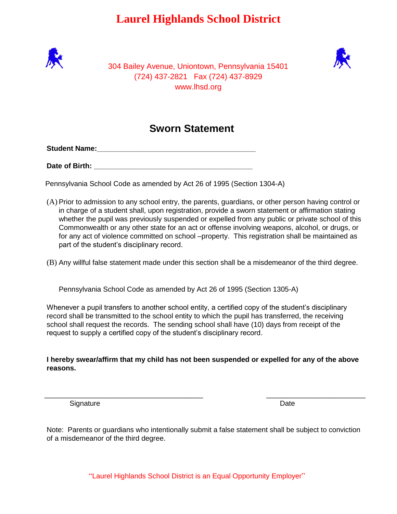



304 Bailey Avenue, Uniontown, Pennsylvania 15401 (724) 437-2821 Fax (724) 437-8929 www.lhsd.org

# **Sworn Statement**

**Student Name:**  $\blacksquare$ 

**Date of Birth:**  $\blacksquare$ 

Pennsylvania School Code as amended by Act 26 of 1995 (Section 1304-A)

(A) Prior to admission to any school entry, the parents, guardians, or other person having control or in charge of a student shall, upon registration, provide a sworn statement or affirmation stating whether the pupil was previously suspended or expelled from any public or private school of this Commonwealth or any other state for an act or offense involving weapons, alcohol, or drugs, or for any act of violence committed on school –property. This registration shall be maintained as part of the student's disciplinary record.

(B) Any willful false statement made under this section shall be a misdemeanor of the third degree.

Pennsylvania School Code as amended by Act 26 of 1995 (Section 1305-A)

Whenever a pupil transfers to another school entity, a certified copy of the student's disciplinary record shall be transmitted to the school entity to which the pupil has transferred, the receiving school shall request the records. The sending school shall have (10) days from receipt of the request to supply a certified copy of the student's disciplinary record.

**I hereby swear/affirm that my child has not been suspended or expelled for any of the above reasons.** 

\_\_\_\_\_\_\_\_\_\_\_\_\_\_\_\_\_\_\_\_\_\_\_\_\_\_\_\_\_\_\_\_\_\_\_\_\_\_\_\_ \_\_\_\_\_\_\_\_\_\_\_\_\_\_\_\_\_\_\_\_\_\_\_\_\_

Signature Date **Date** 

Note: Parents or guardians who intentionally submit a false statement shall be subject to conviction of a misdemeanor of the third degree.

"Laurel Highlands School District is an Equal Opportunity Employer"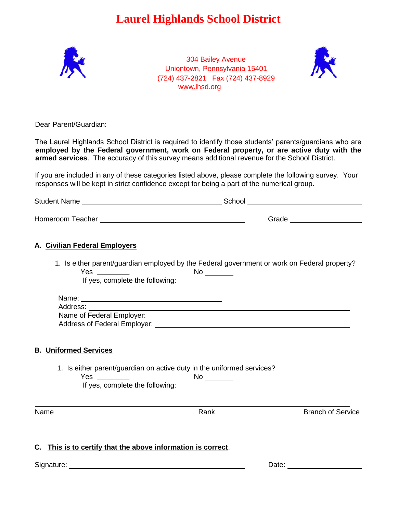

304 Bailey Avenue Uniontown, Pennsylvania 15401 (724) 437-2821 Fax (724) 437-8929 www.lhsd.org



Dear Parent/Guardian:

The Laurel Highlands School District is required to identify those students' parents/guardians who are **employed by the Federal government, work on Federal property, or are active duty with the armed services**. The accuracy of this survey means additional revenue for the School District.

If you are included in any of these categories listed above, please complete the following survey. Your responses will be kept in strict confidence except for being a part of the numerical group.

|                                                                                                                                      |                                                                                                                  | Grade ______________________ |
|--------------------------------------------------------------------------------------------------------------------------------------|------------------------------------------------------------------------------------------------------------------|------------------------------|
| A. Civilian Federal Employers                                                                                                        |                                                                                                                  |                              |
| 1. Is either parent/guardian employed by the Federal government or work on Federal property?<br>If yes, complete the following:      |                                                                                                                  |                              |
| Name: Name and the second contract of the second contract of the second contract of the second contract of the<br>Address: _________ | and the control of the control of the control of the control of the control of the control of the control of the |                              |
| <b>B.</b> Uniformed Services                                                                                                         |                                                                                                                  |                              |
| 1. Is either parent/guardian on active duty in the uniformed services?<br>If yes, complete the following:                            |                                                                                                                  |                              |
| Name                                                                                                                                 | Rank                                                                                                             | <b>Branch of Service</b>     |
| C. This is to certify that the above information is correct.                                                                         |                                                                                                                  |                              |
| Signature:                                                                                                                           |                                                                                                                  | Date:                        |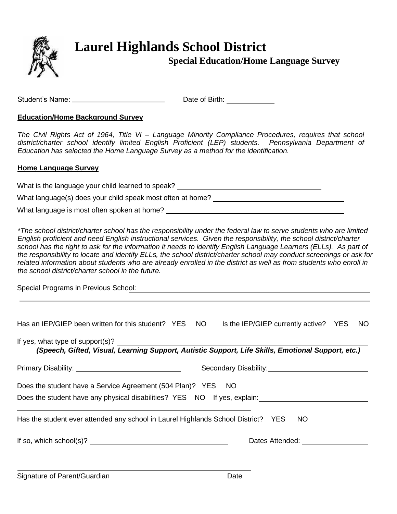

# **Special Education/Home Language Survey**

Student's Name: \_\_\_\_\_\_\_\_\_\_\_\_\_\_\_\_\_\_\_\_\_\_\_\_\_\_\_\_\_\_\_\_\_\_\_Date of Birth: \_\_\_\_\_\_\_\_\_\_\_\_\_\_

## **Education/Home Background Survey**

*The Civil Rights Act of 1964, Title VI – Language Minority Compliance Procedures, requires that school*  district/charter school identify limited English Proficient (LEP) students. Pennsylvania Department of *Education has selected the Home Language Survey as a method for the identification.* 

## **Home Language Survey**

What is the language your child learned to speak?

What language(s) does your child speak most often at home?

What language is most often spoken at home?

*\*The school district/charter school has the responsibility under the federal law to serve students who are limited English proficient and need English instructional services. Given the responsibility, the school district/charter*  school has the right to ask for the information it needs to identify English Language Learners (ELLs). As part of *the responsibility to locate and identify ELLs, the school district/charter school may conduct screenings or ask for related information about students who are already enrolled in the district as well as from students who enroll in the school district/charter school in the future.* 

Special Programs in Previous School:

| Has an IEP/GIEP been written for this student? YES NO Is the IEP/GIEP currently active? YES NO                                           |  |                                                        |                                               |  |
|------------------------------------------------------------------------------------------------------------------------------------------|--|--------------------------------------------------------|-----------------------------------------------|--|
| (Speech, Gifted, Visual, Learning Support, Autistic Support, Life Skills, Emotional Support, etc.)                                       |  |                                                        |                                               |  |
|                                                                                                                                          |  | Secondary Disability:<br><u> Secondary Disability:</u> |                                               |  |
| Does the student have a Service Agreement (504 Plan)? YES NO<br>Does the student have any physical disabilities? YES NO If yes, explain: |  |                                                        |                                               |  |
| Has the student ever attended any school in Laurel Highlands School District? YES                                                        |  |                                                        | <b>NO</b>                                     |  |
|                                                                                                                                          |  |                                                        | Dates Attended: University of Pates Attended: |  |
|                                                                                                                                          |  |                                                        |                                               |  |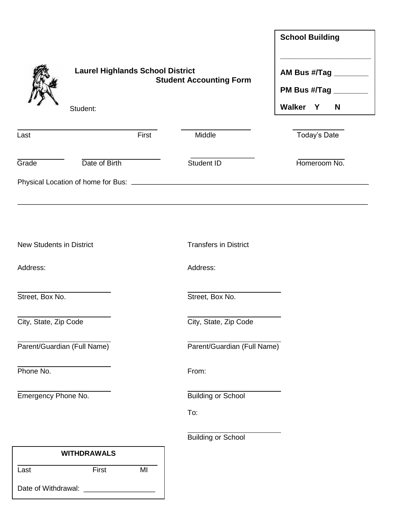|                                 |                                                     |       |                                | <b>School Building</b>                                          |
|---------------------------------|-----------------------------------------------------|-------|--------------------------------|-----------------------------------------------------------------|
|                                 | <b>Laurel Highlands School District</b><br>Student: |       | <b>Student Accounting Form</b> | AM Bus #/Tag ________<br>PM Bus #/Tag ________<br>Walker Y<br>N |
| Last                            |                                                     | First | Middle                         | Today's Date                                                    |
| Grade                           | Date of Birth                                       |       | Student ID                     | Homeroom No.                                                    |
|                                 |                                                     |       |                                |                                                                 |
|                                 |                                                     |       |                                |                                                                 |
| <b>New Students in District</b> |                                                     |       | <b>Transfers in District</b>   |                                                                 |
| Address:                        |                                                     |       | Address:                       |                                                                 |
| Street, Box No.                 |                                                     |       | Street, Box No.                |                                                                 |
| City, State, Zip Code           |                                                     |       | City, State, Zip Code          |                                                                 |
|                                 | Parent/Guardian (Full Name)                         |       | Parent/Guardian (Full Name)    |                                                                 |
| Phone No.                       |                                                     |       | From:                          |                                                                 |
| Emergency Phone No.             |                                                     |       | <b>Building or School</b>      |                                                                 |
|                                 |                                                     |       | To:                            |                                                                 |
|                                 |                                                     |       | <b>Building or School</b>      |                                                                 |
|                                 | <b>WITHDRAWALS</b>                                  |       |                                |                                                                 |

| Last                | First | MI |
|---------------------|-------|----|
| Date of Withdrawal: |       |    |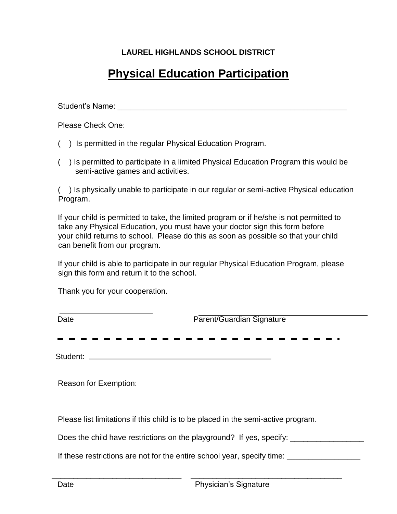# **LAUREL HIGHLANDS SCHOOL DISTRICT**

# **Physical Education Participation**

Student's Name: **Example 2018** 

Please Check One:

( ) Is permitted in the regular Physical Education Program.

( ) Is permitted to participate in a limited Physical Education Program this would be semi-active games and activities.

( ) Is physically unable to participate in our regular or semi-active Physical education Program.

If your child is permitted to take, the limited program or if he/she is not permitted to take any Physical Education, you must have your doctor sign this form before your child returns to school. Please do this as soon as possible so that your child can benefit from our program.

If your child is able to participate in our regular Physical Education Program, please sign this form and return it to the school.

Thank you for your cooperation.

Date **Parent/Guardian Signature** Student: Reason for Exemption: Please list limitations if this child is to be placed in the semi-active program. Does the child have restrictions on the playground? If yes, specify: \_\_\_\_\_\_\_\_\_\_\_\_ If these restrictions are not for the entire school year, specify time:

\_\_\_\_\_\_\_\_\_\_\_\_\_\_\_\_\_\_\_\_\_\_\_\_\_\_\_\_\_\_ \_\_\_\_\_\_\_\_\_\_\_\_\_\_\_\_\_\_\_\_\_\_\_\_\_\_\_\_\_\_\_\_\_\_\_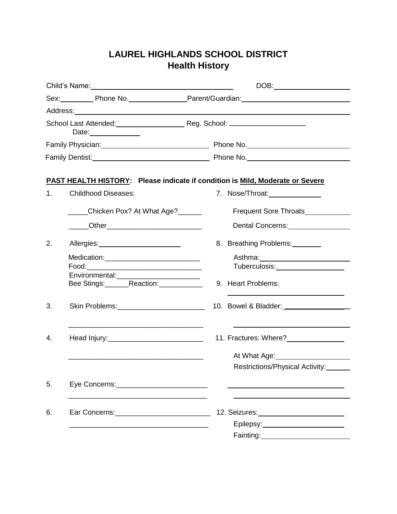# **LAUREL HIGHLANDS SCHOOL DISTRICT Health History**

|         |                                                                                                                                                                                                                                | Sex: Phone No. Prime No. Parent/Guardian: Prime Contain Assembly Prime Contains and District Assembly Prime Co                                                                                                                 |
|---------|--------------------------------------------------------------------------------------------------------------------------------------------------------------------------------------------------------------------------------|--------------------------------------------------------------------------------------------------------------------------------------------------------------------------------------------------------------------------------|
|         |                                                                                                                                                                                                                                | Address: Address: Address: Address: Address: Address: Address: Address: Address: Address: Address: Address: Address: Address: Address: Address: Address: Address: Address: Address: Address: Address: Address: Address: Addres |
|         |                                                                                                                                                                                                                                |                                                                                                                                                                                                                                |
|         | Date: ______________                                                                                                                                                                                                           |                                                                                                                                                                                                                                |
|         |                                                                                                                                                                                                                                | Family Physician: Cambridge Communication of Phone No.                                                                                                                                                                         |
|         |                                                                                                                                                                                                                                |                                                                                                                                                                                                                                |
|         |                                                                                                                                                                                                                                | PAST HEALTH HISTORY: Please indicate if condition is Mild, Moderate or Severe                                                                                                                                                  |
| $1_{-}$ | <b>Childhood Diseases:</b>                                                                                                                                                                                                     | 7. Nose/Throat: 2008                                                                                                                                                                                                           |
|         | Chicken Pox? At What Age?                                                                                                                                                                                                      | Frequent Sore Throats                                                                                                                                                                                                          |
|         | ____Other____________________________                                                                                                                                                                                          | Dental Concerns: Dental Concerns:                                                                                                                                                                                              |
| 2.      | Allergies: New York Changes and Allergies and Allergies and Allergies and Allergian and Allergian and Allergia                                                                                                                 | 8. Breathing Problems:                                                                                                                                                                                                         |
|         | Medication:______________________________                                                                                                                                                                                      |                                                                                                                                                                                                                                |
|         |                                                                                                                                                                                                                                | Tuberculosis: National Assembly Property and Assembly                                                                                                                                                                          |
|         | Environmental:__________________________<br>Bee Stings:_______Reaction:____________                                                                                                                                            | 9. Heart Problems:                                                                                                                                                                                                             |
| 3.      |                                                                                                                                                                                                                                |                                                                                                                                                                                                                                |
|         |                                                                                                                                                                                                                                |                                                                                                                                                                                                                                |
| 4.      |                                                                                                                                                                                                                                |                                                                                                                                                                                                                                |
|         | <u> 1989 - Johann John Harry Harry Harry Harry Harry Harry Harry Harry Harry Harry Harry Harry Harry Harry Harry</u>                                                                                                           | At What Age:<br><u>Lettimes</u>                                                                                                                                                                                                |
|         |                                                                                                                                                                                                                                | Restrictions/Physical Activity:                                                                                                                                                                                                |
| 5.      | Eye Concerns: National Assembly Concerns and Concerns and Concerns and Concernsive Concernsive Concernsive Concernsive Concernsive Concernsive Concernsive Concernsive Concernsive Concernsive Concernsive Concernsive Concern |                                                                                                                                                                                                                                |
| 6.      |                                                                                                                                                                                                                                | 12. Seizures: 12. Seizures: 12. Seizures: 12. Seizures: 12. Seizures: 12. Seizures: 12. Seizures: 12. Seizure                                                                                                                  |
|         |                                                                                                                                                                                                                                | Epilepsy:_________________________                                                                                                                                                                                             |
|         |                                                                                                                                                                                                                                | Fainting: <b>Example 2018</b>                                                                                                                                                                                                  |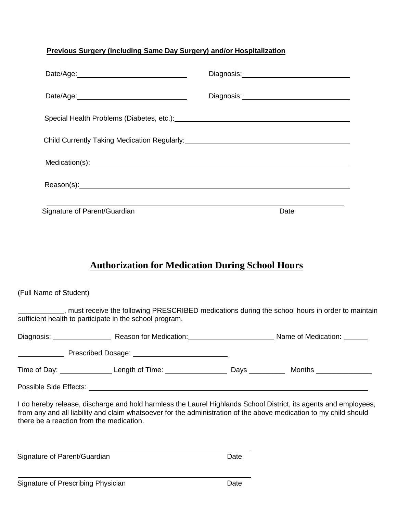## **Previous Surgery (including Same Day Surgery) and/or Hospitalization**

| Date/Age: 2000               |                                                       |
|------------------------------|-------------------------------------------------------|
|                              | Diagnosis: <u>___________________________________</u> |
|                              |                                                       |
|                              |                                                       |
|                              |                                                       |
|                              |                                                       |
| Signature of Parent/Guardian | Date                                                  |

# **Authorization for Medication During School Hours**

(Full Name of Student)

, must receive the following PRESCRIBED medications during the school hours in order to maintain sufficient health to participate in the school program.

| Diagnosis:                  | Reason for Medication:<br><u>and the company of the company of the company of the company of the company of the company of the company of the company of the company of the company of the company of the company of the company of the company of the com</u> |                                                                                                                                                                                                                                     | Name of Medication: _______ |
|-----------------------------|----------------------------------------------------------------------------------------------------------------------------------------------------------------------------------------------------------------------------------------------------------------|-------------------------------------------------------------------------------------------------------------------------------------------------------------------------------------------------------------------------------------|-----------------------------|
|                             |                                                                                                                                                                                                                                                                |                                                                                                                                                                                                                                     |                             |
| Time of Day: ______________ | Length of Time: $\frac{1}{2}$ Length of Time:                                                                                                                                                                                                                  | <b>Days</b> the control of the control of the control of the control of the control of the control of the control of the control of the control of the control of the control of the control of the control of the control of the c | Months                      |
|                             |                                                                                                                                                                                                                                                                |                                                                                                                                                                                                                                     |                             |

I do hereby release, discharge and hold harmless the Laurel Highlands School District, its agents and employees, from any and all liability and claim whatsoever for the administration of the above medication to my child should there be a reaction from the medication.

Signature of Parent/Guardian Date Date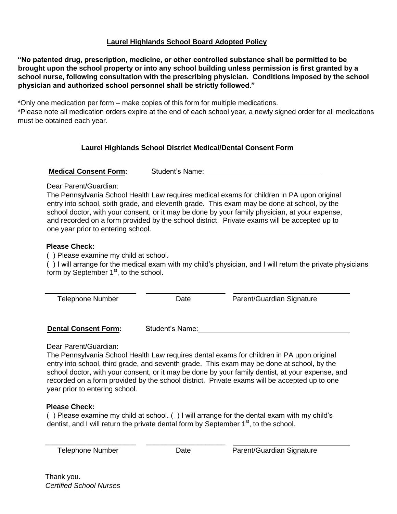#### **Laurel Highlands School Board Adopted Policy**

**"No patented drug, prescription, medicine, or other controlled substance shall be permitted to be brought upon the school property or into any school building unless permission is first granted by a school nurse, following consultation with the prescribing physician. Conditions imposed by the school physician and authorized school personnel shall be strictly followed."** 

\*Only one medication per form – make copies of this form for multiple medications.

\*Please note all medication orders expire at the end of each school year, a newly signed order for all medications must be obtained each year.

## **Laurel Highlands School District Medical/Dental Consent Form**

**Medical Consent Form:** Student's Name:

#### Dear Parent/Guardian:

The Pennsylvania School Health Law requires medical exams for children in PA upon original entry into school, sixth grade, and eleventh grade. This exam may be done at school, by the school doctor, with your consent, or it may be done by your family physician, at your expense, and recorded on a form provided by the school district. Private exams will be accepted up to one year prior to entering school.

#### **Please Check:**

( ) Please examine my child at school.

( ) I will arrange for the medical exam with my child's physician, and I will return the private physicians form by September 1<sup>st</sup>, to the school.

| <b>Telephone Number</b> | Date | Parent/Guardian Signature |  |
|-------------------------|------|---------------------------|--|
|                         |      |                           |  |
|                         |      |                           |  |
|                         |      |                           |  |

**Dental Consent Form:** Student's Name: Student and Student and Student and Student and Student and Student and Student and Student and Student and Student and Student and Student and Student and Student and Student and Stu

Dear Parent/Guardian:

The Pennsylvania School Health Law requires dental exams for children in PA upon original entry into school, third grade, and seventh grade. This exam may be done at school, by the school doctor, with your consent, or it may be done by your family dentist, at your expense, and recorded on a form provided by the school district. Private exams will be accepted up to one year prior to entering school.

#### **Please Check:**

( ) Please examine my child at school. ( ) I will arrange for the dental exam with my child's dentist, and I will return the private dental form by September  $1<sup>st</sup>$ , to the school.

| Telephone Number |  |
|------------------|--|
|------------------|--|

\_\_\_\_\_\_\_\_\_\_\_\_\_\_\_\_\_\_\_\_\_\_\_ \_\_\_\_\_\_\_\_\_\_\_\_\_\_\_\_\_\_\_\_

Date Parent/Guardian Signature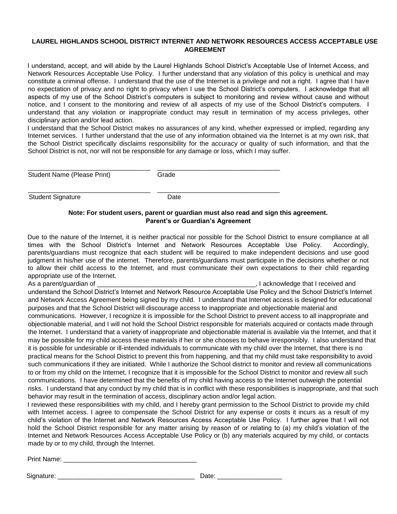#### **LAUREL HIGHLANDS SCHOOL DISTRICT INTERNET AND NETWORK RESOURCES ACCESS ACCEPTABLE USE AGREEMENT**

I understand, accept, and will abide by the Laurel Highlands School District's Acceptable Use of Internet Access, and Network Resources Acceptable Use Policy. I further understand that any violation of this policy is unethical and may constitute a criminal offense. I understand that the use of the Internet is a privilege and not a right. I agree that I have no expectation of privacy and no right to privacy when I use the School District's computers. I acknowledge that all aspects of my use of the School District's computers is subject to monitoring and review without cause and without notice, and I consent to the monitoring and review of all aspects of my use of the School District's computers. I understand that any violation or inappropriate conduct may result in termination of my access privileges, other disciplinary action and/or lead action.

I understand that the School District makes no assurances of any kind, whether expressed or implied, regarding any Internet services. I further understand that the use of any information obtained via the Internet is at my own risk, that the School District specifically disclaims responsibility for the accuracy or quality of such information, and that the School District is not, nor will not be responsible for any damage or loss, which I may suffer.

| Student Name (Please Print) | Grade |
|-----------------------------|-------|

\_\_\_\_\_\_\_\_\_\_\_\_\_\_\_\_\_\_\_\_\_\_\_\_\_\_\_\_\_\_\_\_\_\_ \_\_\_\_\_\_\_\_\_\_\_\_\_\_\_\_\_\_\_\_\_\_\_\_\_\_\_\_\_\_\_\_\_\_

Student Signature Date

#### **Note: For student users, parent or guardian must also read and sign this agreement. Parent's or Guardian's Agreement**

Due to the nature of the Internet, it is neither practical nor possible for the School District to ensure compliance at all times with the School District's Internet and Network Resources Acceptable Use Policy. Accordingly, parents/guardians must recognize that each student will be required to make independent decisions and use good judgment in his/her use of the internet. Therefore, parents/guardians must participate in the decisions whether or not to allow their child access to the Internet, and must communicate their own expectations to their child regarding appropriate use of the Internet.

As a parent/guardian of \_\_\_\_\_\_\_\_\_\_\_\_\_\_\_\_\_\_\_\_\_\_\_\_\_\_\_\_\_\_\_\_\_\_\_\_\_\_\_\_\_\_\_\_, I acknowledge that I received and understand the School District's Internet and Network Resource Acceptable Use Policy and the School District's Internet and Network Access Agreement being signed by my child. I understand that Internet access is designed for educational purposes and that the School District will discourage access to inappropriate and objectionable material and communications. However, I recognize it is impossible for the School District to prevent access to all inappropriate and objectionable material, and I will not hold the School District responsible for materials acquired or contacts made through the Internet. I understand that a variety of inappropriate and objectionable material is available via the Internet, and that it may be possible for my child access these materials if her or she chooses to behave irresponsibly. I also understand that it is possible for undesirable or ill-intended individuals to communicate with my child over the Internet, that there is no practical means for the School District to prevent this from happening, and that my child must take responsibility to avoid such communications if they are initiated. While I authorize the School district to monitor and review all communications to or from my child on the Internet, I recognize that it is impossible for the School District to monitor and review all such communications. I have determined that the benefits of my child having access to the Internet outweigh the potential risks. I understand that any conduct by my child that is in conflict with these responsibilities is inappropriate, and that such behavior may result in the termination of access, disciplinary action and/or legal action.

I reviewed these responsibilities with my child, and I hereby grant permission to the School District to provide my child with Internet access. I agree to compensate the School District for any expense or costs it incurs as a result of my child's violation of the Internet and Network Resources Access Acceptable Use Policy. I further agree that I will not hold the School District responsible for any matter arising by reason of or relating to (a) my child's violation of the Internet and Network Resources Access Acceptable Use Policy or (b) any materials acquired by my child, or contacts made by or to my child, through the Internet.

Print Name:

Signature: \_\_\_\_\_\_\_\_\_\_\_\_\_\_\_\_\_\_\_\_\_\_\_\_\_\_\_\_\_\_\_\_\_\_\_\_\_\_ Date: \_\_\_\_\_\_\_\_\_\_\_\_\_\_\_\_\_\_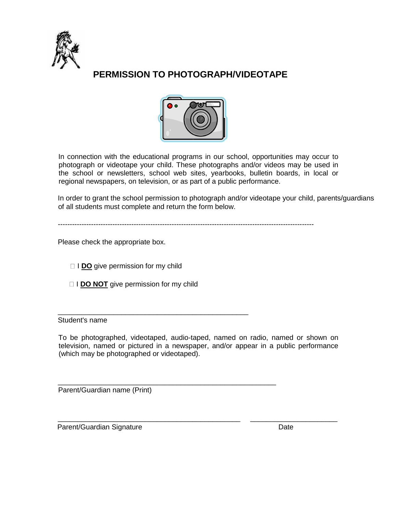

# **PERMISSION TO PHOTOGRAPH/VIDEOTAPE**



In connection with the educational programs in our school, opportunities may occur to photograph or videotape your child. These photographs and/or videos may be used in the school or newsletters, school web sites, yearbooks, bulletin boards, in local or regional newspapers, on television, or as part of a public performance.

In order to grant the school permission to photograph and/or videotape your child, parents/guardians of all students must complete and return the form below.

------------------------------------------------------------------------------------------------------------

Please check the appropriate box.

□ **I DO** give permission for my child

□ **I DO NOT** give permission for my child

\_\_\_\_\_\_\_\_\_\_\_\_\_\_\_\_\_\_\_\_\_\_\_\_\_\_\_\_\_\_\_\_\_\_\_\_\_\_\_\_\_\_\_\_\_\_\_\_

\_\_\_\_\_\_\_\_\_\_\_\_\_\_\_\_\_\_\_\_\_\_\_\_\_\_\_\_\_\_\_\_\_\_\_\_\_\_\_\_\_\_\_\_\_\_\_\_\_\_\_\_\_\_\_

Student's name

To be photographed, videotaped, audio-taped, named on radio, named or shown on television, named or pictured in a newspaper, and/or appear in a public performance (which may be photographed or videotaped).

\_\_\_\_\_\_\_\_\_\_\_\_\_\_\_\_\_\_\_\_\_\_\_\_\_\_\_\_\_\_\_\_\_\_\_\_\_\_\_\_\_\_\_\_\_\_ \_\_\_\_\_\_\_\_\_\_\_\_\_\_\_\_\_\_\_\_\_\_

Parent/Guardian name (Print)

Parent/Guardian Signature Date Date